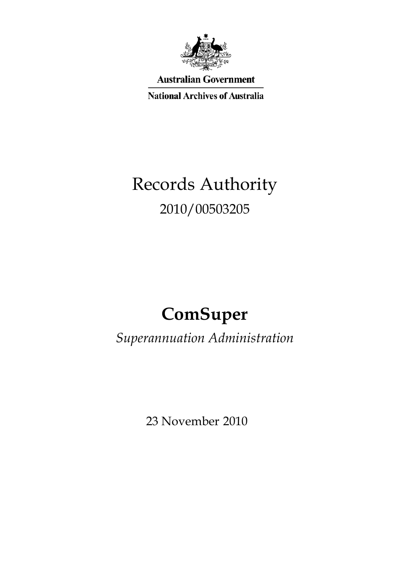

**Australian Government** 

**National Archives of Australia** 

# Records Authority 2010/00503205

# **ComSuper**

*Superannuation Administration* 

23 November 2010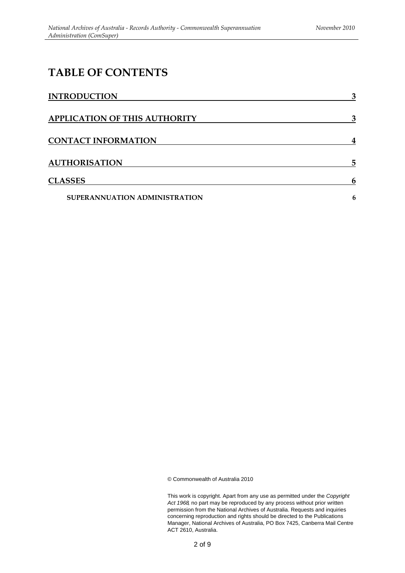### **TABLE OF CONTENTS**

| <b>INTRODUCTION</b>           | 3 |
|-------------------------------|---|
| APPLICATION OF THIS AUTHORITY | 3 |
| <b>CONTACT INFORMATION</b>    | 4 |
| <b>AUTHORISATION</b>          | 5 |
| <b>CLASSES</b>                | 6 |
| SUPERANNUATION ADMINISTRATION | 6 |

© Commonwealth of Australia 2010

This work is copyright. Apart from any use as permitted under the *Copyright Act 1968,* no part may be reproduced by any process without prior written permission from the National Archives of Australia. Requests and inquiries concerning reproduction and rights should be directed to the Publications Manager, National Archives of Australia, PO Box 7425, Canberra Mail Centre ACT 2610, Australia.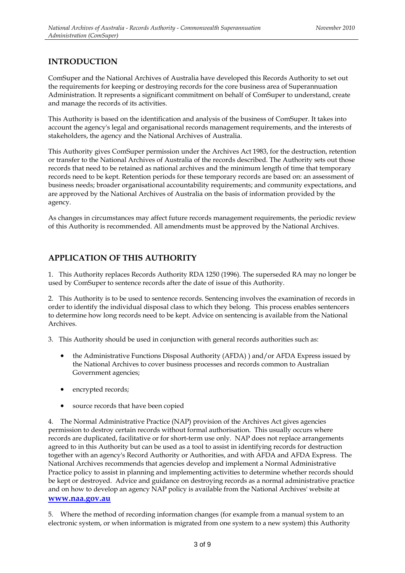### **INTRODUCTION**

ComSuper and the National Archives of Australia have developed this Records Authority to set out the requirements for keeping or destroying records for the core business area of Superannuation Administration. It represents a significant commitment on behalf of ComSuper to understand, create and manage the records of its activities.

This Authority is based on the identification and analysis of the business of ComSuper. It takes into account the agency's legal and organisational records management requirements, and the interests of stakeholders, the agency and the National Archives of Australia.

This Authority gives ComSuper permission under the Archives Act 1983, for the destruction, retention or transfer to the National Archives of Australia of the records described. The Authority sets out those records that need to be retained as national archives and the minimum length of time that temporary records need to be kept. Retention periods for these temporary records are based on: an assessment of business needs; broader organisational accountability requirements; and community expectations, and are approved by the National Archives of Australia on the basis of information provided by the agency.

As changes in circumstances may affect future records management requirements, the periodic review of this Authority is recommended. All amendments must be approved by the National Archives.

### **APPLICATION OF THIS AUTHORITY**

1. This Authority replaces Records Authority RDA 1250 (1996). The superseded RA may no longer be used by ComSuper to sentence records after the date of issue of this Authority.

2. This Authority is to be used to sentence records. Sentencing involves the examination of records in order to identify the individual disposal class to which they belong. This process enables sentencers to determine how long records need to be kept. Advice on sentencing is available from the National Archives.

3. This Authority should be used in conjunction with general records authorities such as:

- the Administrative Functions Disposal Authority (AFDA) ) and/or AFDA Express issued by the National Archives to cover business processes and records common to Australian Government agencies;
- encrypted records;
- source records that have been copied

 permission to destroy certain records without formal authorisation. This usually occurs where be kept or destroyed. Advice and guidance on destroying records as a normal administrative practice **www.naa.gov.au** 4. The Normal Administrative Practice (NAP) provision of the Archives Act gives agencies records are duplicated, facilitative or for short-term use only. NAP does not replace arrangements agreed to in this Authority but can be used as a tool to assist in identifying records for destruction together with an agency's Record Authority or Authorities, and with AFDA and AFDA Express. The National Archives recommends that agencies develop and implement a Normal Administrative Practice policy to assist in planning and implementing activities to determine whether records should and on how to develop an agency NAP policy is available from the National Archives' website at

5. Where the method of recording information changes (for example from a manual system to an electronic system, or when information is migrated from one system to a new system) this Authority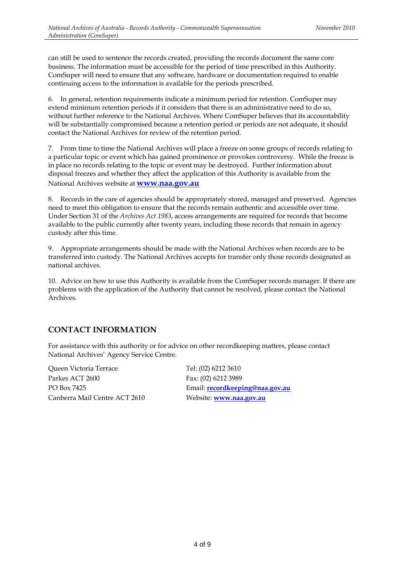can still be used to sentence the records created, providing the records document the same core business. The information must be accessible for the period of time prescribed in this Authority. ComSuper will need to ensure that any software, hardware or documentation required to enable continuing access to the information is available for the periods prescribed.

 will be substantially compromised because a retention period or periods are not adequate, it should 6. In general, retention requirements indicate a minimum period for retention. ComSuper may extend minimum retention periods if it considers that there is an administrative need to do so, without further reference to the National Archives. Where ComSuper believes that its accountability contact the National Archives for review of the retention period.

 National Archives website at **www.naa.gov.au** 7. From time to time the National Archives will place a freeze on some groups of records relating to a particular topic or event which has gained prominence or provokes controversy. While the freeze is in place no records relating to the topic or event may be destroyed. Further information about disposal freezes and whether they affect the application of this Authority is available from the

 custody after this time. 8. Records in the care of agencies should be appropriately stored, managed and preserved. Agencies need to meet this obligation to ensure that the records remain authentic and accessible over time. Under Section 31 of the *Archives Act 1983*, access arrangements are required for records that become available to the public currently after twenty years, including those records that remain in agency

9. Appropriate arrangements should be made with the National Archives when records are to be transferred into custody. The National Archives accepts for transfer only those records designated as national archives.

10. Advice on how to use this Authority is available from the ComSuper records manager. If there are problems with the application of the Authority that cannot be resolved, please contact the National Archives.

### **CONTACT INFORMATION**

For assistance with this authority or for advice on other recordkeeping matters, please contact National Archives' Agency Service Centre.

Parkes ACT 2600 Fax: (02) 6212 3989 Queen Victoria Terrace Tel: (02) 6212 3610 Canberra Mail Centre ACT 2610 Website: **www.naa.gov.au** 

PO Box 7425 Email: **recordkeeping@naa.gov.au**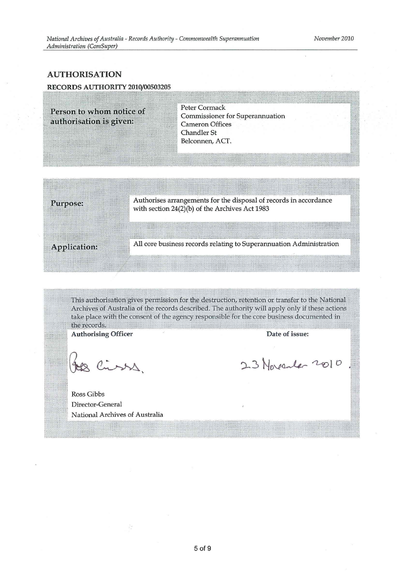#### **AUTHORISATION**

#### RECORDS AUTHORITY 2010/00503205

Person to whom notice of authorisation is given:

**Peter Cormack Commissioner for Superannuation Cameron Offices Chandler St** Belconnen, ACT.

Purpose:

Authorises arrangements for the disposal of records in accordance with section 24(2)(b) of the Archives Act 1983

Application:

All core business records relating to Superannuation Administration

This authorisation gives permission for the destruction, retention or transfer to the National Archives of Australia of the records described. The authority will apply only if these actions take place with the consent of the agency responsible for the core business documented in the records.

**Authorising Officer** 

Jes Cisss.

Date of issue:

23 November 2010

Ross Gibbs Director-General National Archives of Australia

ò.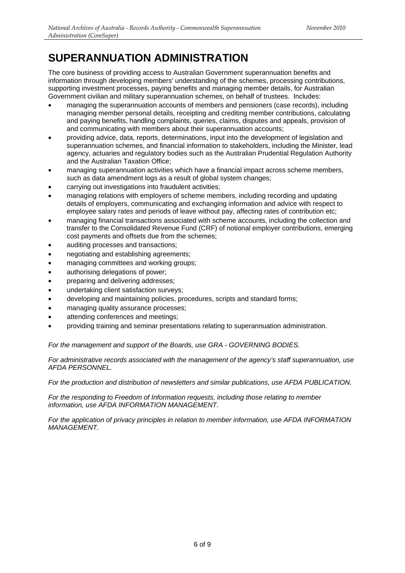The core business of providing access to Australian Government superannuation benefits and information through developing members' understanding of the schemes, processing contributions, supporting investment processes, paying benefits and managing member details, for Australian Government civilian and military superannuation schemes, on behalf of trustees. Includes:

- managing the superannuation accounts of members and pensioners (case records), including managing member personal details, receipting and crediting member contributions, calculating and paying benefits, handling complaints, queries, claims, disputes and appeals, provision of and communicating with members about their superannuation accounts;
- providing advice, data, reports, determinations, input into the development of legislation and superannuation schemes, and financial information to stakeholders, including the Minister, lead agency, actuaries and regulatory bodies such as the Australian Prudential Regulation Authority and the Australian Taxation Office;
- managing superannuation activities which have a financial impact across scheme members. such as data amendment logs as a result of global system changes;
- carrying out investigations into fraudulent activities;
- managing relations with employers of scheme members, including recording and updating details of employers, communicating and exchanging information and advice with respect to employee salary rates and periods of leave without pay, affecting rates of contribution etc;
- managing financial transactions associated with scheme accounts, including the collection and transfer to the Consolidated Revenue Fund (CRF) of notional employer contributions, emerging cost payments and offsets due from the schemes;
- auditing processes and transactions;
- negotiating and establishing agreements;
- managing committees and working groups;
- authorising delegations of power;
- **preparing and delivering addresses:**
- undertaking client satisfaction surveys;
- developing and maintaining policies, procedures, scripts and standard forms;
- managing quality assurance processes;
- attending conferences and meetings;
- providing training and seminar presentations relating to superannuation administration.

*For the management and support of the Boards, use GRA - GOVERNING BODIES.* 

*For administrative records associated with the management of the agency's staff superannuation, use AFDA PERSONNEL.* 

*For the production and distribution of newsletters and similar publications, use AFDA PUBLICATION.* 

*For the responding to Freedom of Information requests, including those relating to member information, use AFDA INFORMATION MANAGEMENT.* 

*For the application of privacy principles in relation to member information, use AFDA INFORMATION MANAGEMENT.*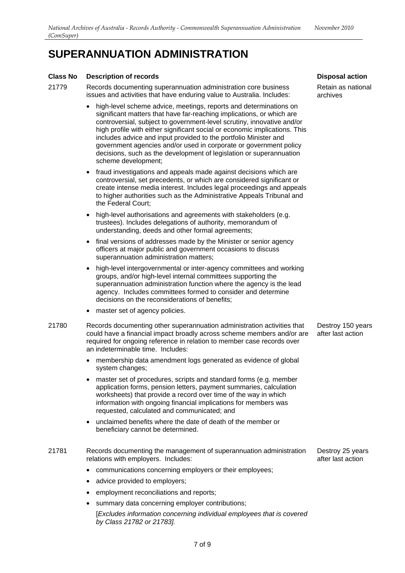#### **Class No Description of records**

- 21779 Records documenting superannuation administration core business issues and activities that have enduring value to Australia. Includes:
	- high-level scheme advice, meetings, reports and determinations on significant matters that have far-reaching implications, or which are controversial, subject to government-level scrutiny, innovative and/or high profile with either significant social or economic implications. This includes advice and input provided to the portfolio Minister and government agencies and/or used in corporate or government policy decisions, such as the development of legislation or superannuation scheme development;
	- fraud investigations and appeals made against decisions which are controversial, set precedents, or which are considered significant or create intense media interest. Includes legal proceedings and appeals to higher authorities such as the Administrative Appeals Tribunal and the Federal Court;
	- high-level authorisations and agreements with stakeholders (e.g. trustees). Includes delegations of authority, memorandum of understanding, deeds and other formal agreements;
	- final versions of addresses made by the Minister or senior agency officers at major public and government occasions to discuss superannuation administration matters;
	- high-level intergovernmental or inter-agency committees and working groups, and/or high-level internal committees supporting the superannuation administration function where the agency is the lead agency. Includes committees formed to consider and determine decisions on the reconsiderations of benefits;
	- master set of agency policies.
- 21780 Records documenting other superannuation administration activities that could have a financial impact broadly across scheme members and/or are required for ongoing reference in relation to member case records over an indeterminable time. Includes:
	- membership data amendment logs generated as evidence of global system changes;
	- master set of procedures, scripts and standard forms (e.g. member application forms, pension letters, payment summaries, calculation worksheets) that provide a record over time of the way in which information with ongoing financial implications for members was requested, calculated and communicated; and
	- unclaimed benefits where the date of death of the member or beneficiary cannot be determined.
- 21781 Records documenting the management of superannuation administration relations with employers. Includes:
	- communications concerning employers or their employees;
	- advice provided to employers;
	- employment reconciliations and reports;
	- summary data concerning employer contributions;

[*Excludes information concerning individual employees that is covered by Class 21782 or 21783].* 

**Disposal action** 

Retain as national archives

Destroy 150 years after last action

Destroy 25 years after last action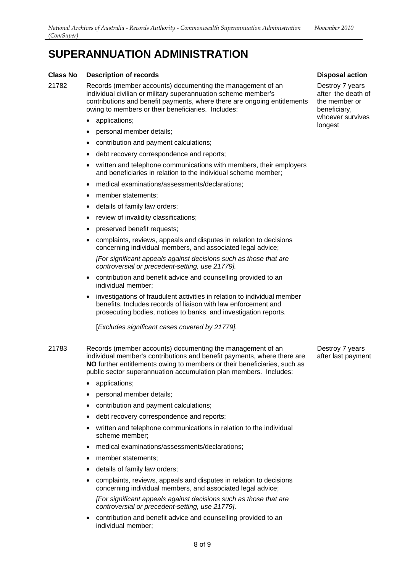#### **Class No Description of records**

21782 Records (member accounts) documenting the management of an individual civilian or military superannuation scheme member's contributions and benefit payments, where there are ongoing entitlements owing to members or their beneficiaries. Includes:

- applications;
- personal member details;
- contribution and payment calculations;
- debt recovery correspondence and reports:
- written and telephone communications with members, their employers and beneficiaries in relation to the individual scheme member;
- medical examinations/assessments/declarations;
- member statements:
- details of family law orders:
- review of invalidity classifications;
- preserved benefit requests;
- complaints, reviews, appeals and disputes in relation to decisions concerning individual members, and associated legal advice;

*[For significant appeals against decisions such as those that are controversial or precedent-setting, use 21779].* 

- • contribution and benefit advice and counselling provided to an individual member;
- investigations of fraudulent activities in relation to individual member benefits. Includes records of liaison with law enforcement and prosecuting bodies, notices to banks, and investigation reports.

[*Excludes significant cases covered by 21779].* 

- 21783 Records (member accounts) documenting the management of an individual member's contributions and benefit payments, where there are **NO** further entitlements owing to members or their beneficiaries, such as public sector superannuation accumulation plan members. Includes:
	- applications;
	- personal member details:
	- contribution and payment calculations;
	- debt recovery correspondence and reports;
	- written and telephone communications in relation to the individual scheme member;
	- medical examinations/assessments/declarations;
	- member statements;
	- details of family law orders;
	- complaints, reviews, appeals and disputes in relation to decisions concerning individual members, and associated legal advice;

*[For significant appeals against decisions such as those that are controversial or precedent-setting, use 21779]*.

contribution and benefit advice and counselling provided to an individual member;

**Disposal action** 

Destroy 7 years after the death of the member or beneficiary, whoever survives longest

Destroy 7 years after last payment